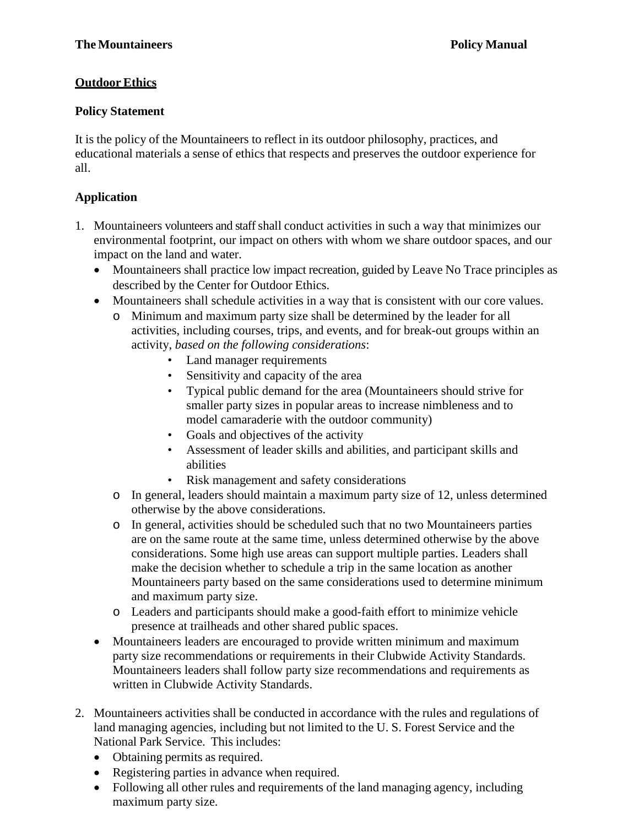## **Outdoor Ethics**

## **Policy Statement**

It is the policy of the Mountaineers to reflect in its outdoor philosophy, practices, and educational materials a sense of ethics that respects and preserves the outdoor experience for all.

## **Application**

- 1. Mountaineers volunteers and staff shall conduct activities in such a way that minimizes our environmental footprint, our impact on others with whom we share outdoor spaces, and our impact on the land and water.
	- Mountaineers shall practice low impact recreation, guided by Leave No Trace principles as described by the Center for Outdoor Ethics.
	- Mountaineers shall schedule activities in a way that is consistent with our core values.
		- o Minimum and maximum party size shall be determined by the leader for all activities, including courses, trips, and events, and for break-out groups within an activity, *based on the following considerations*:
			- Land manager requirements
			- Sensitivity and capacity of the area
			- Typical public demand for the area (Mountaineers should strive for smaller party sizes in popular areas to increase nimbleness and to model camaraderie with the outdoor community)
			- Goals and objectives of the activity
			- Assessment of leader skills and abilities, and participant skills and abilities
			- Risk management and safety considerations
		- o In general, leaders should maintain a maximum party size of 12, unless determined otherwise by the above considerations.
		- o In general, activities should be scheduled such that no two Mountaineers parties are on the same route at the same time, unless determined otherwise by the above considerations. Some high use areas can support multiple parties. Leaders shall make the decision whether to schedule a trip in the same location as another Mountaineers party based on the same considerations used to determine minimum and maximum party size.
		- o Leaders and participants should make a good-faith effort to minimize vehicle presence at trailheads and other shared public spaces.
	- Mountaineers leaders are encouraged to provide written minimum and maximum party size recommendations or requirements in their Clubwide Activity Standards. Mountaineers leaders shall follow party size recommendations and requirements as written in Clubwide Activity Standards.
- 2. Mountaineers activities shall be conducted in accordance with the rules and regulations of land managing agencies, including but not limited to the U. S. Forest Service and the National Park Service. This includes:
	- Obtaining permits as required.
	- Registering parties in advance when required.
	- Following all other rules and requirements of the land managing agency, including maximum party size.